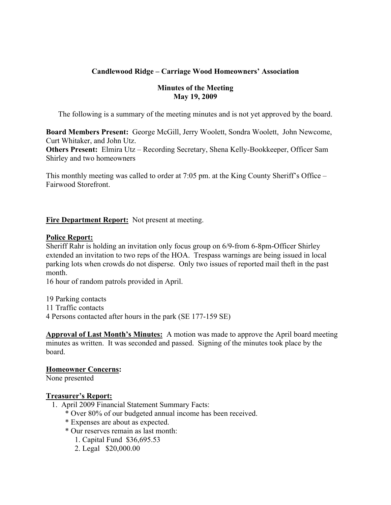# **Candlewood Ridge – Carriage Wood Homeowners' Association**

#### **Minutes of the Meeting May 19, 2009**

The following is a summary of the meeting minutes and is not yet approved by the board.

**Board Members Present:** George McGill, Jerry Woolett, Sondra Woolett, John Newcome, Curt Whitaker, and John Utz.

**Others Present:** Elmira Utz – Recording Secretary, Shena Kelly-Bookkeeper, Officer Sam Shirley and two homeowners

This monthly meeting was called to order at 7:05 pm. at the King County Sheriff's Office – Fairwood Storefront.

# **Fire Department Report:** Not present at meeting.

#### **Police Report:**

Sheriff Rahr is holding an invitation only focus group on 6/9-from 6-8pm-Officer Shirley extended an invitation to two reps of the HOA. Trespass warnings are being issued in local parking lots when crowds do not disperse. Only two issues of reported mail theft in the past month.

16 hour of random patrols provided in April.

19 Parking contacts

11 Traffic contacts

4 Persons contacted after hours in the park (SE 177-159 SE)

**Approval of Last Month's Minutes:** A motion was made to approve the April board meeting minutes as written. It was seconded and passed. Signing of the minutes took place by the board.

# **Homeowner Concerns:**

None presented

# **Treasurer's Report:**

- 1. April 2009 Financial Statement Summary Facts:
	- \* Over 80% of our budgeted annual income has been received.
	- \* Expenses are about as expected.
	- \* Our reserves remain as last month:
		- 1. Capital Fund \$36,695.53
		- 2. Legal \$20,000.00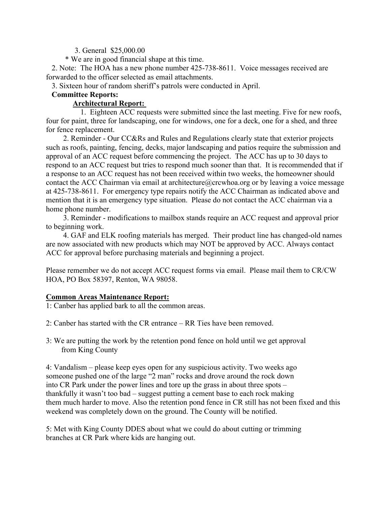3. General \$25,000.00

\* We are in good financial shape at this time.

 2. Note: The HOA has a new phone number 425-738-8611. Voice messages received are forwarded to the officer selected as email attachments.

3. Sixteen hour of random sheriff's patrols were conducted in April.

# **Committee Reports:**

### **Architectural Report:**

 1. Eighteen ACC requests were submitted since the last meeting. Five for new roofs, four for paint, three for landscaping, one for windows, one for a deck, one for a shed, and three for fence replacement.

 2. Reminder - Our CC&Rs and Rules and Regulations clearly state that exterior projects such as roofs, painting, fencing, decks, major landscaping and patios require the submission and approval of an ACC request before commencing the project. The ACC has up to 30 days to respond to an ACC request but tries to respond much sooner than that. It is recommended that if a response to an ACC request has not been received within two weeks, the homeowner should contact the ACC Chairman via email at architecture@crcwhoa.org or by leaving a voice message at 425-738-8611. For emergency type repairs notify the ACC Chairman as indicated above and mention that it is an emergency type situation. Please do not contact the ACC chairman via a home phone number.

 3. Reminder - modifications to mailbox stands require an ACC request and approval prior to beginning work.

 4. GAF and ELK roofing materials has merged. Their product line has changed-old names are now associated with new products which may NOT be approved by ACC. Always contact ACC for approval before purchasing materials and beginning a project.

Please remember we do not accept ACC request forms via email. Please mail them to CR/CW HOA, PO Box 58397, Renton, WA 98058.

# **Common Areas Maintenance Report:**

1: Canber has applied bark to all the common areas.

- 2: Canber has started with the CR entrance RR Ties have been removed.
- 3: We are putting the work by the retention pond fence on hold until we get approval from King County

4: Vandalism – please keep eyes open for any suspicious activity. Two weeks ago someone pushed one of the large "2 man" rocks and drove around the rock down into CR Park under the power lines and tore up the grass in about three spots – thankfully it wasn't too bad – suggest putting a cement base to each rock making them much harder to move. Also the retention pond fence in CR still has not been fixed and this weekend was completely down on the ground. The County will be notified.

5: Met with King County DDES about what we could do about cutting or trimming branches at CR Park where kids are hanging out.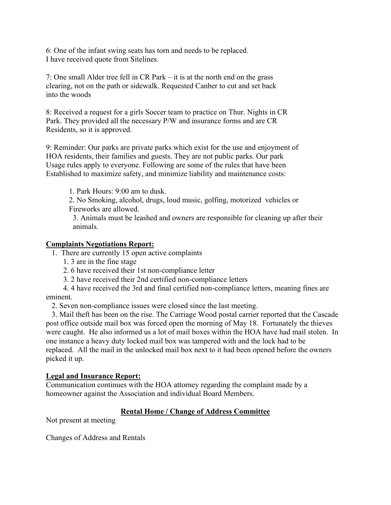6: One of the infant swing seats has torn and needs to be replaced. I have received quote from Sitelines.

7: One small Alder tree fell in CR Park – it is at the north end on the grass clearing, not on the path or sidewalk. Requested Canber to cut and set back into the woods

8: Received a request for a girls Soccer team to practice on Thur. Nights in CR Park. They provided all the necessary P/W and insurance forms and are CR Residents, so it is approved.

9: Reminder: Our parks are private parks which exist for the use and enjoyment of HOA residents, their families and guests. They are not public parks. Our park Usage rules apply to everyone. Following are some of the rules that have been Established to maximize safety, and minimize liability and maintenance costs:

1. Park Hours: 9:00 am to dusk.

2. No Smoking, alcohol, drugs, loud music, golfing, motorized vehicles or Fireworks are allowed.

 3. Animals must be leashed and owners are responsible for cleaning up after their animals.

#### **Complaints Negotiations Report:**

- 1. There are currently 15 open active complaints
	- 1. 3 are in the fine stage
	- 2. 6 have received their 1st non-compliance letter
	- 3. 2 have received their 2nd certified non-compliance letters
- 4. 4 have received the 3rd and final certified non-compliance letters, meaning fines are eminent.

2. Seven non-compliance issues were closed since the last meeting.

 3. Mail theft has been on the rise. The Carriage Wood postal carrier reported that the Cascade post office outside mail box was forced open the morning of May 18. Fortunately the thieves were caught. He also informed us a lot of mail boxes within the HOA have had mail stolen. In one instance a heavy duty locked mail box was tampered with and the lock had to be replaced. All the mail in the unlocked mail box next to it had been opened before the owners picked it up.

#### **Legal and Insurance Report:**

Communication continues with the HOA attorney regarding the complaint made by a homeowner against the Association and individual Board Members.

# **Rental Home / Change of Address Committee**

Not present at meeting

Changes of Address and Rentals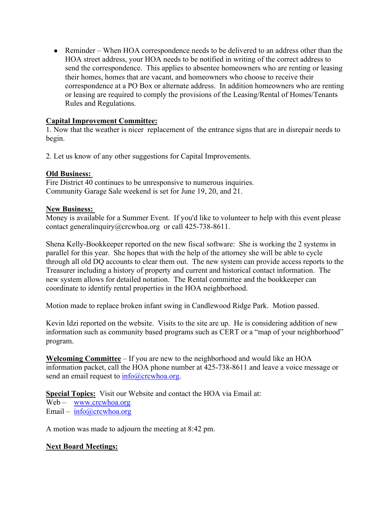• Reminder – When HOA correspondence needs to be delivered to an address other than the HOA street address, your HOA needs to be notified in writing of the correct address to send the correspondence. This applies to absentee homeowners who are renting or leasing their homes, homes that are vacant, and homeowners who choose to receive their correspondence at a PO Box or alternate address. In addition homeowners who are renting or leasing are required to comply the provisions of the Leasing/Rental of Homes/Tenants Rules and Regulations.

# **Capital Improvement Committee:**

1. Now that the weather is nicer replacement of the entrance signs that are in disrepair needs to begin.

2. Let us know of any other suggestions for Capital Improvements.

#### **Old Business:**

Fire District 40 continues to be unresponsive to numerous inquiries. Community Garage Sale weekend is set for June 19, 20, and 21.

#### **New Business:**

Money is available for a Summer Event. If you'd like to volunteer to help with this event please contact generalinquiry@crcwhoa.org or call 425-738-8611.

Shena Kelly-Bookkeeper reported on the new fiscal software: She is working the 2 systems in parallel for this year. She hopes that with the help of the attorney she will be able to cycle through all old DQ accounts to clear them out. The new system can provide access reports to the Treasurer including a history of property and current and historical contact information. The new system allows for detailed notation. The Rental committee and the bookkeeper can coordinate to identify rental properties in the HOA neighborhood.

Motion made to replace broken infant swing in Candlewood Ridge Park. Motion passed.

Kevin Idzi reported on the website. Visits to the site are up. He is considering addition of new information such as community based programs such as CERT or a "map of your neighborhood" program.

**Welcoming Committee** – If you are new to the neighborhood and would like an HOA information packet, call the HOA phone number at 425-738-8611 and leave a voice message or send an email request to  $info@crcwhoa.org$ .

**Special Topics:** Visit our Website and contact the HOA via Email at:

Web – www.crcwhoa.org Email – info@crcwhoa.org

A motion was made to adjourn the meeting at 8:42 pm.

# **Next Board Meetings:**